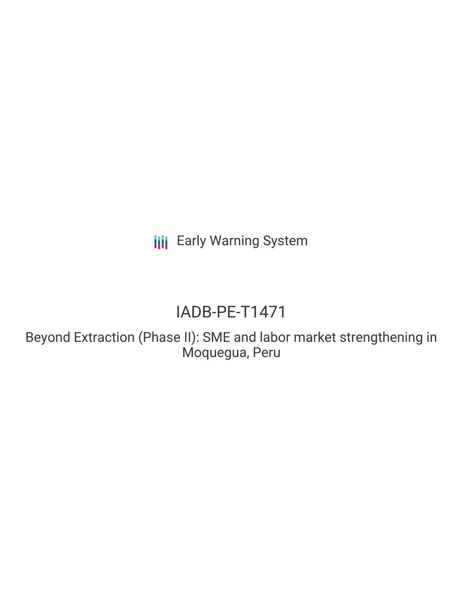**III** Early Warning System

# IADB-PE-T1471

Beyond Extraction (Phase II): SME and labor market strengthening in Moquegua, Peru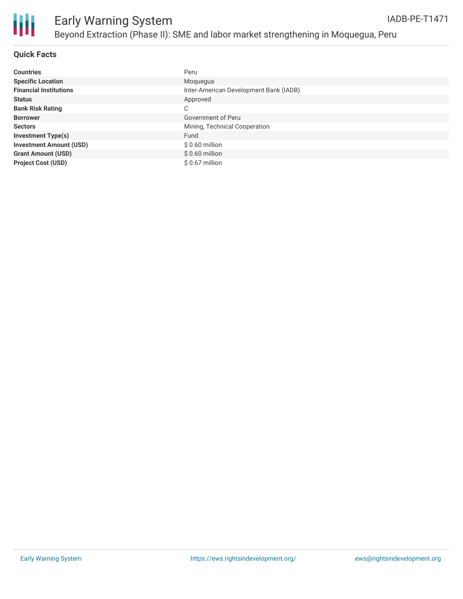

### **Quick Facts**

| <b>Countries</b>               | Peru                                   |
|--------------------------------|----------------------------------------|
| <b>Specific Location</b>       | Moquegua                               |
| <b>Financial Institutions</b>  | Inter-American Development Bank (IADB) |
| <b>Status</b>                  | Approved                               |
| <b>Bank Risk Rating</b>        | C                                      |
| <b>Borrower</b>                | Government of Peru                     |
| <b>Sectors</b>                 | Mining, Technical Cooperation          |
| <b>Investment Type(s)</b>      | Fund                                   |
| <b>Investment Amount (USD)</b> | $$0.60$ million                        |
| <b>Grant Amount (USD)</b>      | $$0.60$ million                        |
| <b>Project Cost (USD)</b>      | $$0.67$ million                        |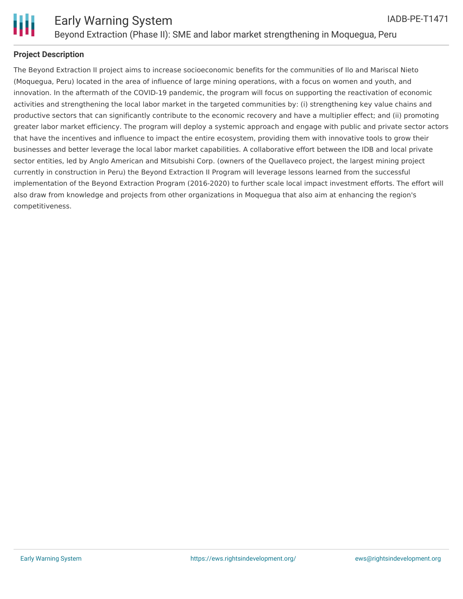

#### **Project Description**

The Beyond Extraction II project aims to increase socioeconomic benefits for the communities of Ilo and Mariscal Nieto (Moquegua, Peru) located in the area of influence of large mining operations, with a focus on women and youth, and innovation. In the aftermath of the COVID-19 pandemic, the program will focus on supporting the reactivation of economic activities and strengthening the local labor market in the targeted communities by: (i) strengthening key value chains and productive sectors that can significantly contribute to the economic recovery and have a multiplier effect; and (ii) promoting greater labor market efficiency. The program will deploy a systemic approach and engage with public and private sector actors that have the incentives and influence to impact the entire ecosystem, providing them with innovative tools to grow their businesses and better leverage the local labor market capabilities. A collaborative effort between the IDB and local private sector entities, led by Anglo American and Mitsubishi Corp. (owners of the Quellaveco project, the largest mining project currently in construction in Peru) the Beyond Extraction II Program will leverage lessons learned from the successful implementation of the Beyond Extraction Program (2016-2020) to further scale local impact investment efforts. The effort will also draw from knowledge and projects from other organizations in Moquegua that also aim at enhancing the region's competitiveness.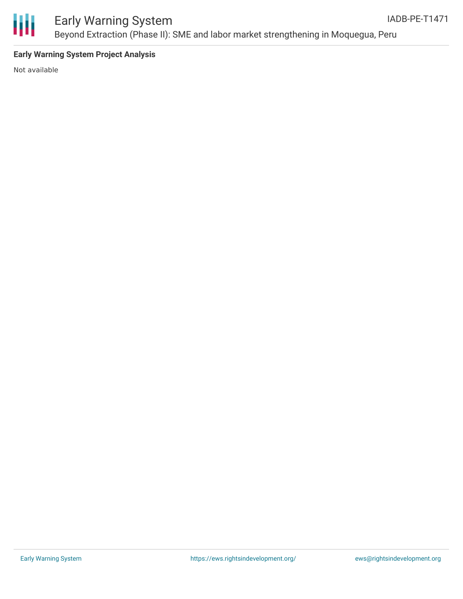

### **Early Warning System Project Analysis**

Not available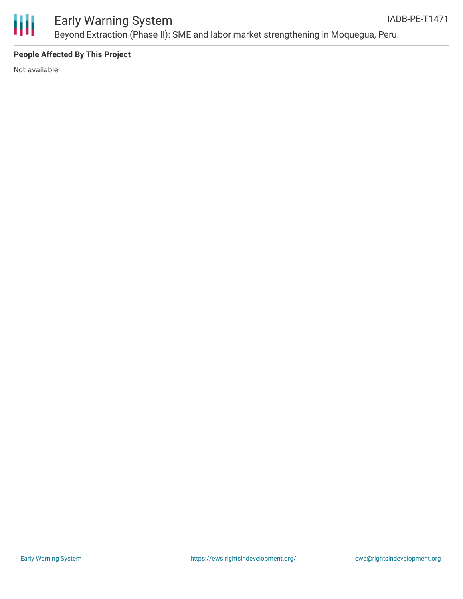

### **People Affected By This Project**

Not available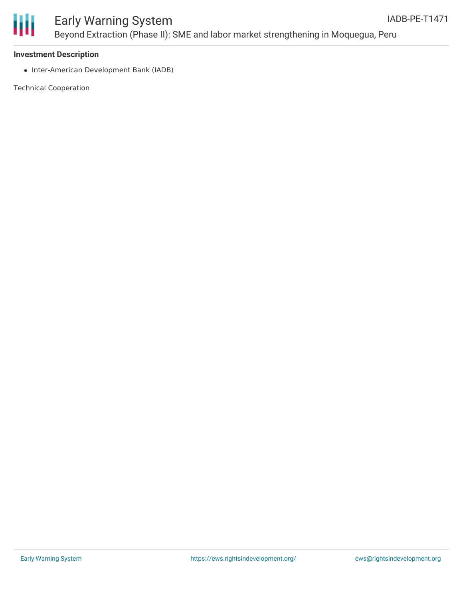



#### **Investment Description**

• Inter-American Development Bank (IADB)

Technical Cooperation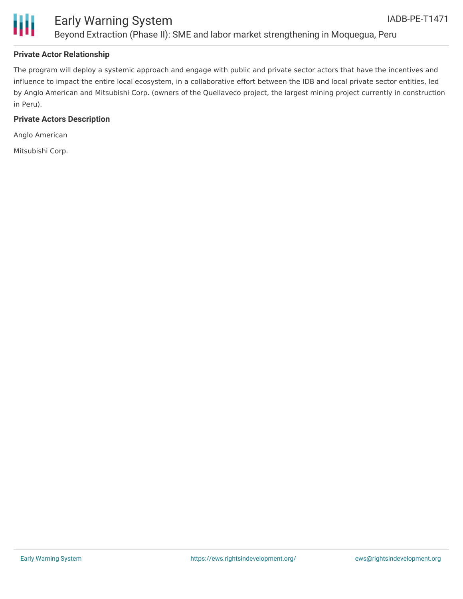



### **Private Actor Relationship**

The program will deploy a systemic approach and engage with public and private sector actors that have the incentives and influence to impact the entire local ecosystem, in a collaborative effort between the IDB and local private sector entities, led by Anglo American and Mitsubishi Corp. (owners of the Quellaveco project, the largest mining project currently in construction in Peru).

#### **Private Actors Description**

Anglo American

Mitsubishi Corp.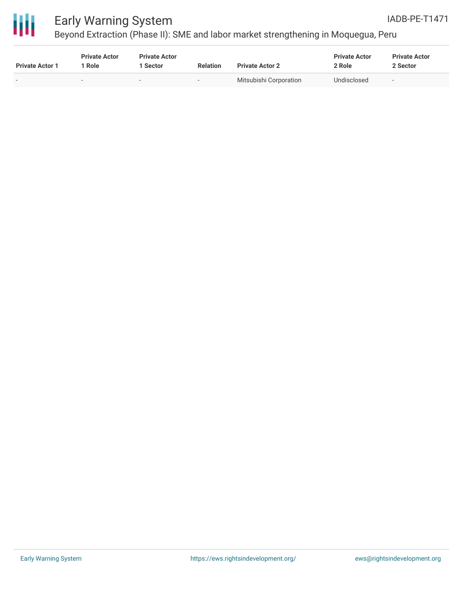



# Early Warning System

Beyond Extraction (Phase II): SME and labor market strengthening in Moquegua, Peru

| <b>Private Actor 1</b> | <b>Private Actor</b><br>1 Role | <b>Private Actor</b><br>1 Sector | <b>Relation</b> | <b>Private Actor 2</b> | <b>Private Actor</b><br>2 Role | <b>Private Actor</b><br>2 Sector |
|------------------------|--------------------------------|----------------------------------|-----------------|------------------------|--------------------------------|----------------------------------|
| $\sim$                 |                                | $\sim$                           | . .             | Mitsubishi Corporation | Undisclosed                    | $\overline{\phantom{a}}$         |